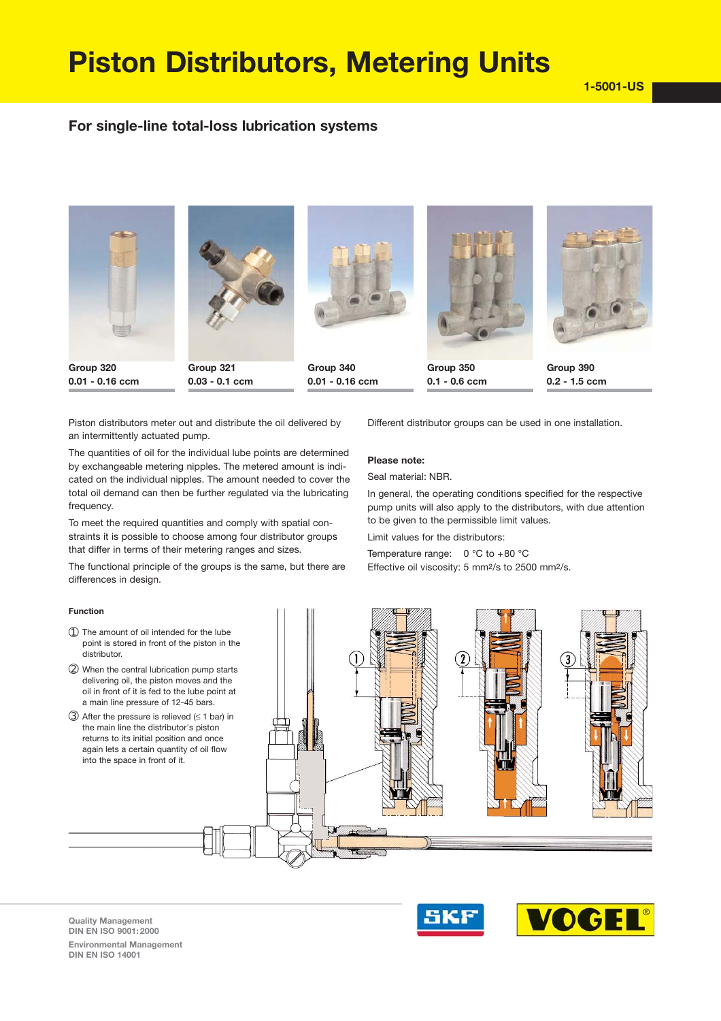# **Piston Distributors, Metering Units**

# **For single-line total-loss lubrication systems**



**0.01 0.16 ccm**

**0.03 0.1 ccm**

**Group 340**

**0.01 0.16 ccm**

**0.1 0.6 ccm**



**Group 390 0.2 1.5 ccm**

Piston distributors meter out and distribute the oil delivered by an intermittently actuated pump.

The quantities of oil for the individual lube points are determined by exchangeable metering nipples. The metered amount is indi cated on the individual nipples. The amount needed to cover the total oil demand can then be further regulated via the lubricating frequency.

To meet the required quantities and comply with spatial con straints it is possible to choose among four distributor groups that differ in terms of their metering ranges and sizes.

The functional principle of the groups is the same, but there are differences in design.

### **Function**

Different distributor groups can be used in one installation.

## **Please note:**

Seal material: NBR.

In general, the operating conditions specified for the respective pump units will also apply to the distributors, with due attention to be given to the permissible limit values.

Limit values for the distributors:

Temperature range:  $0 °C$  to +80  $°C$ Effective oil viscosity: 5 mm2/s to 2500 mm2/s.



**Quality Management DIN EN ISO 9001: 2000 Environmental Management DIN EN ISO 14001**

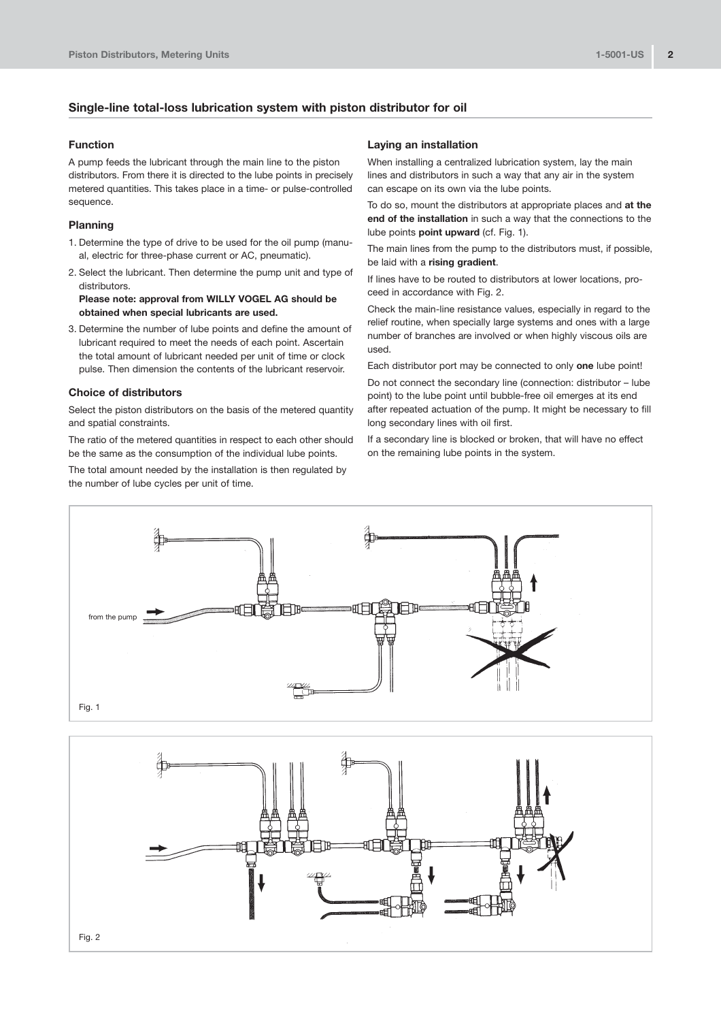## **Single-line total-loss lubrication system with piston distributor for oil**

## **Function**

A pump feeds the lubricant through the main line to the piston distributors. From there it is directed to the lube points in precisely metered quantities. This takes place in a time- or pulse-controlled sequence.

## **Planning**

- 1. Determine the type of drive to be used for the oil pump (manu al, electric for three-phase current or AC, pneumatic).
- 2. Select the lubricant. Then determine the pump unit and type of distributors.

**Please note: approval from WILLY VOGEL AG should be obtained when special lubricants are used.**

3. Determine the number of lube points and define the amount of lubricant required to meet the needs of each point. Ascertain the total amount of lubricant needed per unit of time or clock pulse. Then dimension the contents of the lubricant reservoir.

## **Choice of distributors**

Select the piston distributors on the basis of the metered quantity and spatial constraints.

The ratio of the metered quantities in respect to each other should be the same as the consumption of the individual lube points.

The total amount needed by the installation is then regulated by the number of lube cycles per unit of time.

#### **Laying an installation**

When installing a centralized lubrication system, lay the main lines and distributors in such a way that any air in the system can escape on its own via the lube points.

To do so, mount the distributors at appropriate places and **at the end of the installation** in such a way that the connections to the lube points **point upward** (cf. Fig. 1).

The main lines from the pump to the distributors must, if possible, be laid with a **rising gradient**.

If lines have to be routed to distributors at lower locations, pro ceed in accordance with Fig. 2.

Check the main-line resistance values, especially in regard to the relief routine, when specially large systems and ones with a large number of branches are involved or when highly viscous oils are used.

Each distributor port may be connected to only **one** lube point!

Do not connect the secondary line (connection: distributor – lube point) to the lube point until bubble-free oil emerges at its end after repeated actuation of the pump. It might be necessary to fill long secondary lines with oil first.

If a secondary line is blocked or broken, that will have no effect on the remaining lube points in the system.



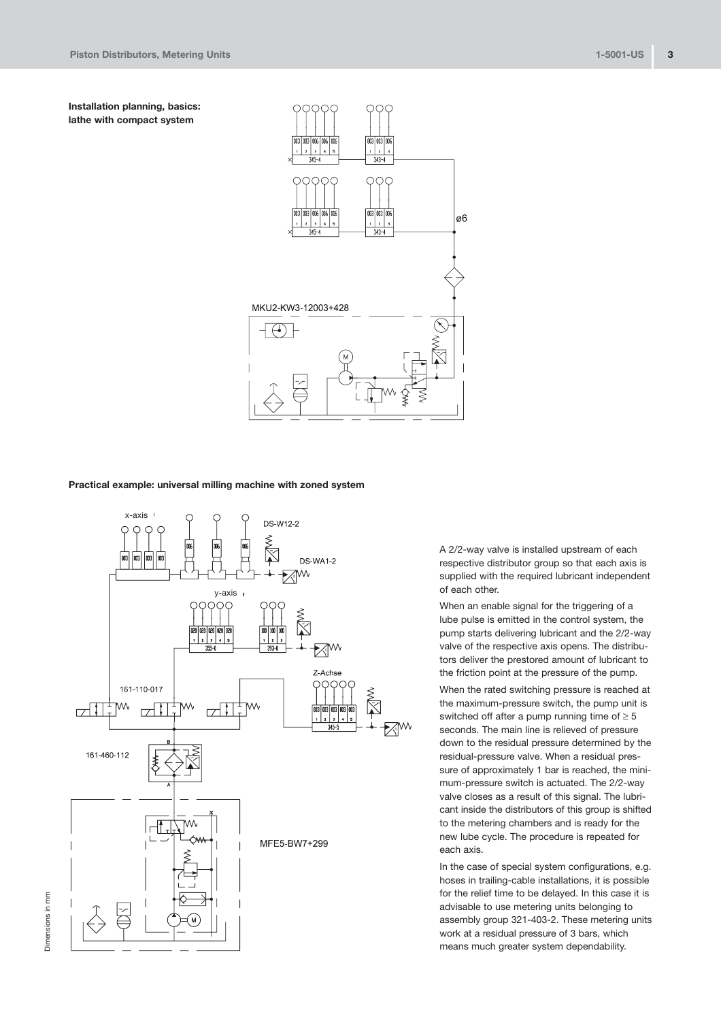**Installation planning, basics: lathe with compact system**



## **Practical example: universal milling machine with zoned system**



A 2/2-way valve is installed upstream of each respective distributor group so that each axis is supplied with the required lubricant independent of each other.

When an enable signal for the triggering of a lube pulse is emitted in the control system, the pump starts delivering lubricant and the 2/2-way valve of the respective axis opens. The distribu tors deliver the prestored amount of lubricant to the friction point at the pressure of the pump.

When the rated switching pressure is reached at the maximum-pressure switch, the pump unit is switched off after a pump running time of  $\geq 5$ seconds. The main line is relieved of pressure down to the residual pressure determined by the residual-pressure valve. When a residual pressure of approximately 1 bar is reached, the minimum-pressure switch is actuated. The 2/2-way valve closes as a result of this signal. The lubri cant inside the distributors of this group is shifted to the metering chambers and is ready for the new lube cycle. The procedure is repeated for each axis.

In the case of special system configurations, e.g. hoses in trailing-cable installations, it is possible for the relief time to be delayed. In this case it is advisable to use metering units belonging to assembly group 321-403-2. These metering units work at a residual pressure of 3 bars, which means much greater system dependability.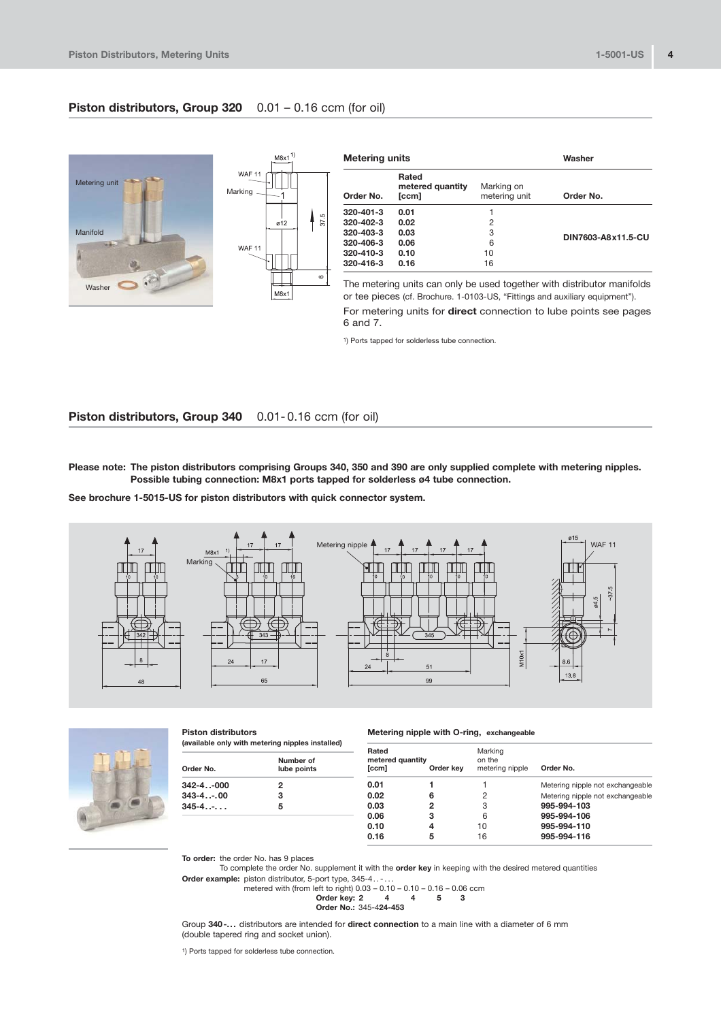## **Piston distributors, Group 320** 0.01 – 0.16 ccm (for oil)



1) Ports tapped for solderless tube connection.

## **Piston distributors, Group 340** 0.01-0.16 ccm (for oil)

**Please note: The piston distributors comprising Groups 340, 350 and 390 are only supplied complete with metering nipples. Possible tubing connection: M8x1 ports tapped for solderless ø4 tube connection.**

See brochure 1-5015-US for piston distributors with quick connector system.





**Piston distributors (available only with metering nipples installed)**

| Number of<br>Order No.<br>lube points |   | Rated<br>metered quantity<br>[ccm]<br>Order kev |   | Marking<br>on the<br>metering nipple |  |
|---------------------------------------|---|-------------------------------------------------|---|--------------------------------------|--|
| 342-4-000                             |   | 0.01                                            |   |                                      |  |
| 343-4-.00                             | з | 0.02                                            | 6 |                                      |  |
| 345-4-.                               | 5 | 0.03                                            | 2 | 3                                    |  |
|                                       |   | 0.06                                            | з | 6                                    |  |
|                                       |   | 0.10                                            | 4 | 10                                   |  |
|                                       |   | 0.1C                                            | E | AC                                   |  |

**Metering nipple with O-ring, exchangeable** 

| Rated<br>metered quantity<br>[ccm] | Order kev | Marking<br>on the<br>metering nipple | Order No.                        |
|------------------------------------|-----------|--------------------------------------|----------------------------------|
| 0.01                               |           |                                      | Metering nipple not exchangeable |
| 0.02                               | 6         | 2                                    | Metering nipple not exchangeable |
| 0.03                               | 2         | 3                                    | 995-994-103                      |
| 0.06                               | з         | 6                                    | 995-994-106                      |
| 0.10                               | 4         | 10                                   | 995-994-110                      |
| 0.16                               | 5         | 16                                   | 995-994-116                      |

**To order:** the order No. has 9 places

To complete the order No. supplement it with the **order key** in keeping with the desired metered quantities

Order example: piston distributor, 5-port type, 345-4.....<br>metered with (from left to right) 0.03 – 0.10 – 0.10 – 0.16 – 0.06 ccm

$$
(iron left to right 0.03 - 0.10 - 0.10 - 0.10 - 0.06 \text{ cm})
$$
\nOrder key: 2

\n4

\n4

\n5

\n3

\nOrder No.: 345-424-453

Group **340...** distributors are intended for **direct connection** to a main line with a diameter of 6 mm (double tapered ring and socket union).

1) Ports tapped for solderless tube connection.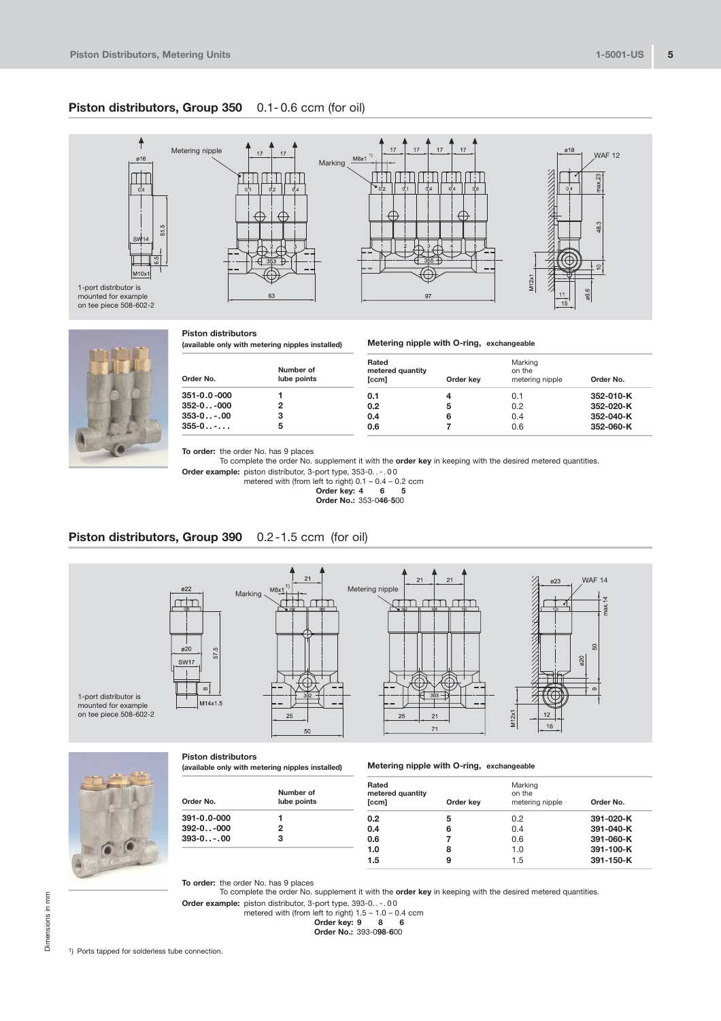## **Piston distributors, Group 350** 0.1-0.6 ccm (for oil)





| <b>Piston distributors</b>          |  |
|-------------------------------------|--|
| lovailable only with metering ninnl |  |

**(available only with metering nipples installed)**

| Order No.   | Number of<br>lube points | Rated<br>metered quantity<br>[ccm] | Order kev | Marking<br>on the<br>metering nipple | Order No. |
|-------------|--------------------------|------------------------------------|-----------|--------------------------------------|-----------|
| 351-0.0-000 |                          | 0.1                                | 4         | 0.1                                  | 352-010-K |
| 352-0-000   | 2                        | 0.2                                | 5         | 0.2                                  | 352-020-K |
| 353-0-.00   | з                        | 0.4                                | 6         | 0.4                                  | 352-040-K |
| $355-0$     | 5                        | 0.6                                |           | 0.6                                  | 352-060-K |

**Metering nipple with O-ring, exchangeable** 

**To order:** the order No. has 9 places

To complete the order No. supplement it with the **order key** in keeping with the desired metered quantities.

Order example: piston distributor, 3-port type, 353-0...00

metered with (from left to right) 0.1 – 0.4 – 0.2 ccm **Order key: 4 6 5 Order No.:** 3530**465**00

# **Piston distributors, Group 390** 0.2-1.5 ccm (for oil)





#### **Piston distributors**

**(available only with metering nipples installed)**

### **Metering nipple with O-ring, exchangeable**

| Order No.         | Number of<br>lube points | Rated<br>metered quantity<br>[ccm] | Order kev | Marking<br>on the<br>metering nipple | Order No. |
|-------------------|--------------------------|------------------------------------|-----------|--------------------------------------|-----------|
| 391-0.0-000       |                          | 0.2                                | 5         | 0.2                                  | 391-020-K |
| $392 - 0.1 - 000$ | 2                        | 0.4                                | 6         | 0.4                                  | 391-040-K |
| $393 - 0 - 00$    | 3                        | 0.6                                |           | 0.6                                  | 391-060-K |
|                   |                          | 1.0                                | 8         | 1.0                                  | 391-100-K |
|                   |                          | 1.5                                | 9         | 1.5                                  | 391-150-K |

**To order:** the order No. has 9 places

To complete the order No. supplement it with the **order key** in keeping with the desired metered quantities.

**Order example:** piston distributor, 3-port type, 393-0...org.<br>metered with (from left to right) 1.5 – 1.0 – 0.4 ccm

Order key: 
$$
9 \quad 8 \quad 6
$$

**Order No.: 393-098-600**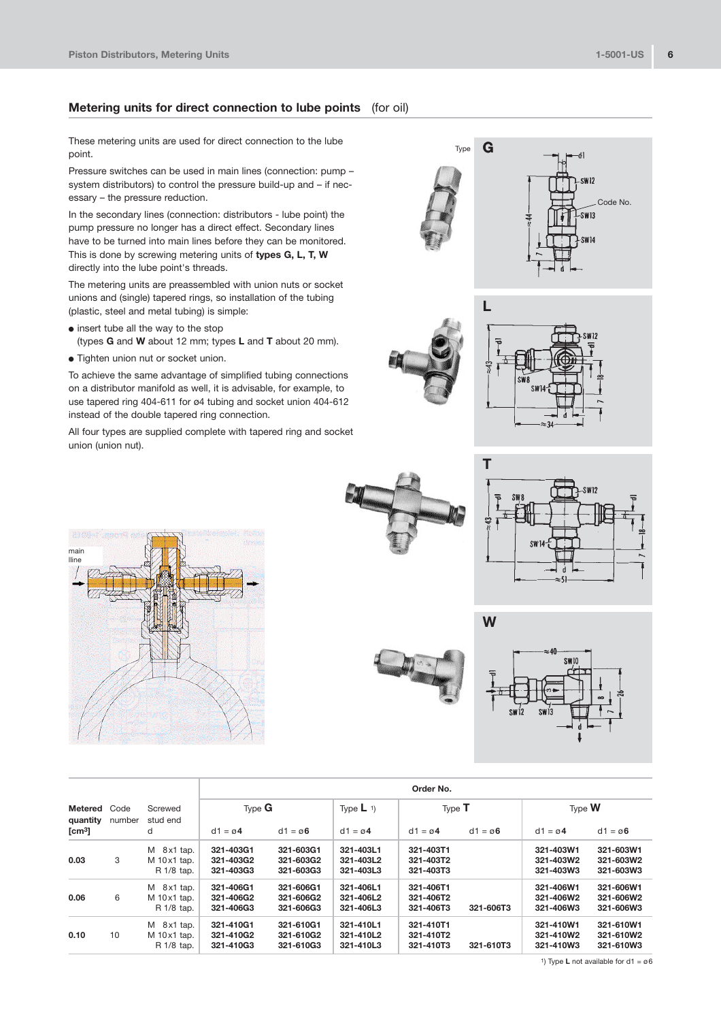## **Metering units for direct connection to lube points** (for oil)

These metering units are used for direct connection to the lube point.

Pressure switches can be used in main lines (connection: pump – system distributors) to control the pressure build-up and  $-$  if necessary – the pressure reduction.

In the secondary lines (connection: distributors - lube point) the pump pressure no longer has a direct effect. Secondary lines have to be turned into main lines before they can be monitored. This is done by screwing metering units of **types G, L, T, W** directly into the lube point's threads.

The metering units are preassembled with union nuts or socket unions and (single) tapered rings, so installation of the tubing (plastic, steel and metal tubing) is simple:

- insert tube all the way to the stop
	- (types **G** and **W** about 12 mm; types **L** and **T** about 20 mm).
- Tighten union nut or socket union.

To achieve the same advantage of simplified tubing connections on a distributor manifold as well, it is advisable, for example, to use tapered ring 404-611 for ø4 tubing and socket union 404-612 instead of the double tapered ring connection.

All four types are supplied complete with tapered ring and socket union (union nut).



| ŧ |  |
|---|--|







**W**

**G**

Type



|                     |                |                                                 | Order No.                           |                                     |                                     |                                     |                      |                                     |                                     |
|---------------------|----------------|-------------------------------------------------|-------------------------------------|-------------------------------------|-------------------------------------|-------------------------------------|----------------------|-------------------------------------|-------------------------------------|
| Metered<br>quantity | Code<br>number | Screwed<br>stud end                             | Type $G$                            |                                     | Type $\mathsf{L}$ 1)                | Type $T$                            |                      | Type <b>W</b>                       |                                     |
| [ $cm3$ ]           |                | d                                               | $d1 = \emptyset$ 4                  | $d1 = \emptyset$ 6                  | $d1 = \emptyset$ 4                  | $d1 = \emptyset$ 4                  | $d1 = \varnothing 6$ | $d1 = \emptyset$ 4                  | $d1 = \emptyset$ 6                  |
| 0.03                | 3              | M 8x1 tap.<br>M 10x1 tap.<br>R 1/8 tap.         | 321-403G1<br>321-403G2<br>321-403G3 | 321-603G1<br>321-603G2<br>321-603G3 | 321-403L1<br>321-403L2<br>321-403L3 | 321-403T1<br>321-403T2<br>321-403T3 |                      | 321-403W1<br>321-403W2<br>321-403W3 | 321-603W1<br>321-603W2<br>321-603W3 |
| 0.06                | 6              | M 8x1 tap.<br>$M$ 10 $x$ 1 tap.<br>R 1/8 tap.   | 321-406G1<br>321-406G2<br>321-406G3 | 321-606G1<br>321-606G2<br>321-606G3 | 321-406L1<br>321-406L2<br>321-406L3 | 321-406T1<br>321-406T2<br>321-406T3 | 321-606T3            | 321-406W1<br>321-406W2<br>321-406W3 | 321-606W1<br>321-606W2<br>321-606W3 |
| 0.10                | 10             | $M$ 8x1 tap.<br>$M$ 10 $x$ 1 tap.<br>R 1/8 tap. | 321-410G1<br>321-410G2<br>321-410G3 | 321-610G1<br>321-610G2<br>321-610G3 | 321-410L1<br>321-410L2<br>321-410L3 | 321-410T1<br>321-410T2<br>321-410T3 | 321-610T3            | 321-410W1<br>321-410W2<br>321-410W3 | 321-610W1<br>321-610W2<br>321-610W3 |

1) Type **L** not available for d1 = ø6

Code No.

.<br>-SW13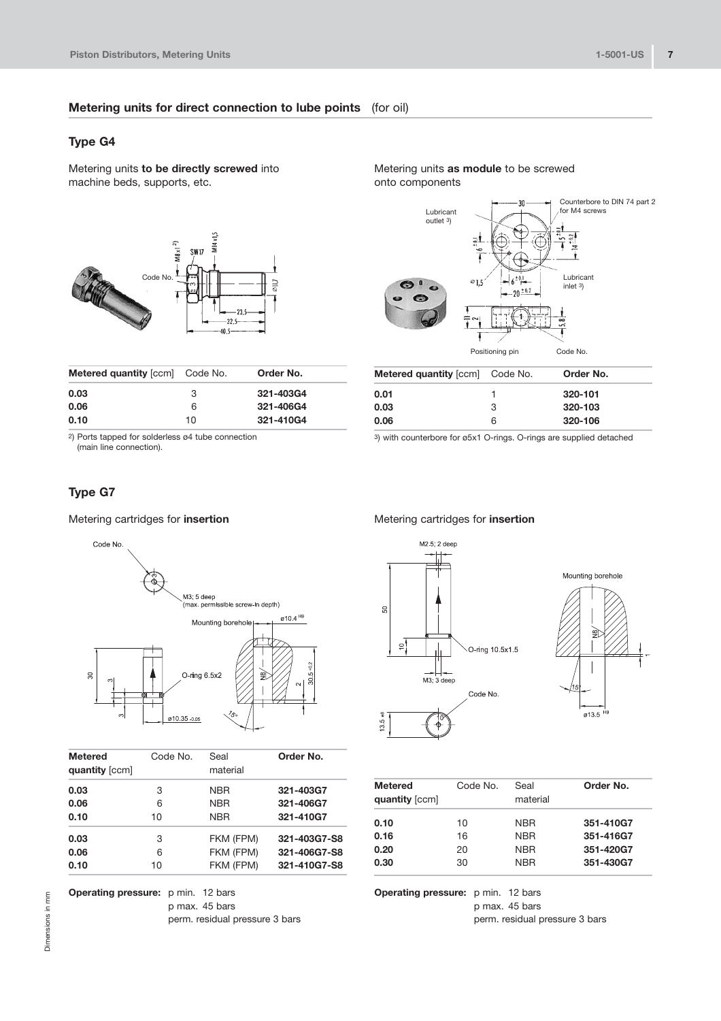## **Metering units for direct connection to lube points** (for oil)

# **Type G4**

Metering units **to be directly screwed** into machine beds, supports, etc.



| <b>Metered quantity [ccm]</b> Code No. |    | Order No. |
|----------------------------------------|----|-----------|
| 0.03                                   | 3  | 321-403G4 |
| 0.06                                   | 6  | 321-406G4 |
| 0.10                                   | 10 | 321-410G4 |
|                                        |    |           |

2) Ports tapped for solderless ø4 tube connection

(main line connection).

# **Type G7**

Metering cartridges for **insertion**



| Metered<br>quantity [ccm] | Code No. | Seal<br>material | Order No.    |
|---------------------------|----------|------------------|--------------|
| 0.03                      | 3        | <b>NBR</b>       | 321-403G7    |
| 0.06                      | 6        | <b>NBR</b>       | 321-406G7    |
| 0.10                      | 10       | <b>NBR</b>       | 321-410G7    |
| 0.03                      | 3        | FKM (FPM)        | 321-403G7-S8 |
| 0.06                      | 6        | FKM (FPM)        | 321-406G7-S8 |
| 0.10                      | 10       | FKM (FPM)        | 321-410G7-S8 |
|                           |          |                  |              |

**Operating pressure:** p min. 12 bars p max. 45 bars perm. residual pressure 3 bars

Metering units **as module** to be screwed onto components



| <b>Metered quantity [ccm]</b> Code No. |   | Order No. |
|----------------------------------------|---|-----------|
| 0.01                                   |   | 320-101   |
| 0.03                                   | 3 | 320-103   |
| 0.06                                   | 6 | 320-106   |

3) with counterbore for ø5x1 O-rings. O-rings are supplied detached

## Metering cartridges for **insertion**





| <b>Metered</b><br>quantity [ccm] | Code No. | Seal<br>material | Order No. |
|----------------------------------|----------|------------------|-----------|
|                                  |          |                  |           |
| 0.10                             | 10       | <b>NBR</b>       | 351-410G7 |
| 0.16                             | 16       | <b>NBR</b>       | 351-416G7 |
| 0.20                             | 20       | <b>NBR</b>       | 351-420G7 |
| 0.30                             | 30       | <b>NBR</b>       | 351-430G7 |
|                                  |          |                  |           |

**Operating pressure:** p min. 12 bars p max. 45 bars perm. residual pressure 3 bars